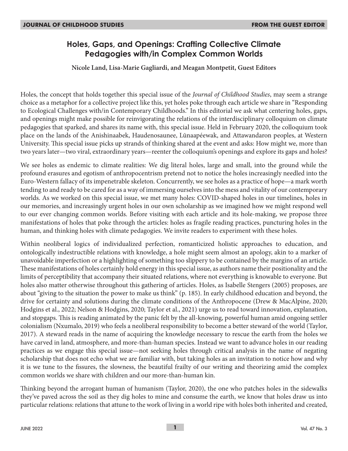# **Holes, Gaps, and Openings: Crafting Collective Climate Pedagogies with/in Complex Common Worlds**

**Nicole Land, Lisa-Marie Gagliardi, and Meagan Montpetit, Guest Editors**

Holes, the concept that holds together this special issue of the *Journal of Childhood Studies*, may seem a strange choice as a metaphor for a collective project like this, yet holes poke through each article we share in "Responding to Ecological Challenges with/in Contemporary Childhoods." In this editorial we ask what centering holes, gaps, and openings might make possible for reinvigorating the relations of the interdisciplinary colloquium on climate pedagogies that sparked, and shares its name with, this special issue. Held in February 2020, the colloquium took place on the lands of the Anishinaabek, Haudenosaunee, Lūnaapéewak, and Attawandaron peoples, at Western University. This special issue picks up strands of thinking shared at the event and asks: How might we, more than two years later—two viral, extraordinary years—reenter the colloquium's openings and explore its gaps and holes?

We see holes as endemic to climate realities: We dig literal holes, large and small, into the ground while the profound erasures and egotism of anthropocentrism pretend not to notice the holes increasingly needled into the Euro-Western fallacy of its impenetrable skeleton. Concurrently, we see holes as a practice of hope—a mark worth tending to and ready to be cared for as a way of immersing ourselves into the mess and vitality of our contemporary worlds. As we worked on this special issue, we met many holes: COVID-shaped holes in our timelines, holes in our memories, and increasingly urgent holes in our own scholarship as we imagined how we might respond well to our ever changing common worlds. Before visiting with each article and its hole-making, we propose three manifestations of holes that poke through the articles: holes as fragile reading practices, puncturing holes in the human, and thinking holes with climate pedagogies. We invite readers to experiment with these holes.

Within neoliberal logics of individualized perfection, romanticized holistic approaches to education, and ontologically indestructible relations with knowledge, a hole might seem almost an apology, akin to a marker of unavoidable imperfection or a highlighting of something too slippery to be contained by the margins of an article. These manifestations of holes certainly hold energy in this special issue, as authors name their positionality and the limits of perceptibility that accompany their situated relations, where not everything is knowable to everyone. But holes also matter otherwise throughout this gathering of articles. Holes, as Isabelle Stengers (2005) proposes, are about "giving to the situation the power to make us think" (p. 185). In early childhood education and beyond, the drive for certainty and solutions during the climate conditions of the Anthropocene (Drew & MacAlpine, 2020; Hodgins et al., 2022; Nelson & Hodgins, 2020; Taylor et al., 2021) urge us to read toward innovation, explanation, and stopgaps. This is reading animated by the panic felt by the all-knowing, powerful human amid ongoing settler colonialism (Nxumalo, 2019) who feels a neoliberal responsibility to become a better steward of the world (Taylor, 2017). A steward reads in the name of acquiring the knowledge necessary to rescue the earth from the holes we have carved in land, atmosphere, and more-than-human species. Instead we want to advance holes in our reading practices as we engage this special issue—not seeking holes through critical analysis in the name of negating scholarship that does not echo what we are familiar with, but taking holes as an invitation to notice how and why it is we tune to the fissures, the slowness, the beautiful frailty of our writing and theorizing amid the complex common worlds we share with children and our more-than-human kin.

Thinking beyond the arrogant human of humanism (Taylor, 2020), the one who patches holes in the sidewalks they've paved across the soil as they dig holes to mine and consume the earth, we know that holes draw us into particular relations: relations that attune to the work of living in a world ripe with holes both inherited and created,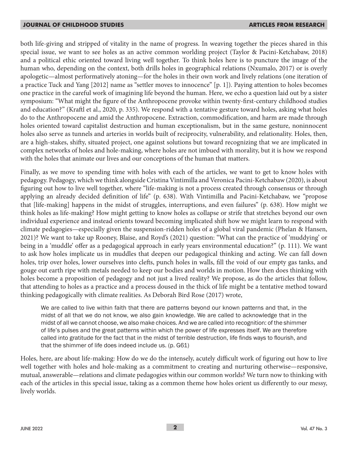both life-giving and stripped of vitality in the name of progress. In weaving together the pieces shared in this special issue, we want to see holes as an active common worlding project (Taylor & Pacini-Ketchabaw, 2018) and a political ethic oriented toward living well together. To think holes here is to puncture the image of the human who, depending on the context, both drills holes in geographical relations (Nxumalo, 2017) or is overly apologetic—almost performatively atoning—for the holes in their own work and lively relations (one iteration of a practice Tuck and Yang [2012] name as "settler moves to innocence" [p. 1]). Paying attention to holes becomes one practice in the careful work of imagining life beyond the human. Here, we echo a question laid out by a sister symposium: "What might the figure of the Anthropocene provoke within twenty-first-century childhood studies and education?" (Kraftl et al., 2020, p. 335). We respond with a tentative gesture toward holes, asking what holes do to the Anthropocene and amid the Anthropocene. Extraction, commodification, and harm are made through holes oriented toward capitalist destruction and human exceptionalism, but in the same gesture, noninnocent holes also serve as tunnels and arteries in worlds built of reciprocity, vulnerability, and relationality. Holes, then, are a high-stakes, shifty, situated project, one against solutions but toward recognizing that we are implicated in complex networks of holes and hole-making, where holes are not imbued with morality, but it is how we respond with the holes that animate our lives and our conceptions of the human that matters.

Finally, as we move to spending time with holes with each of the articles, we want to get to know holes with pedagogy. Pedagogy, which we think alongside Cristina Vintimilla and Veronica Pacini-Ketchabaw (2020), is about figuring out how to live well together, where "life-making is not a process created through consensus or through applying an already decided definition of life" (p. 638). With Vintimilla and Pacini-Ketchabaw, we "propose that [life-making] happens in the midst of struggles, interruptions, and even failures" (p. 638). How might we think holes as life-making? How might getting to know holes as collapse or strife that stretches beyond our own individual experience and instead orients toward becoming implicated shift how we might learn to respond with climate pedagogies—especially given the suspension-ridden holes of a global viral pandemic (Phelan & Hansen, 2021)? We want to take up Rooney, Blaise, and Royd's (2021) question: "What can the practice of 'muddying' or being in a 'muddle' offer as a pedagogical approach in early years environmental education?" (p. 111). We want to ask how holes implicate us in muddles that deepen our pedagogical thinking and acting. We can fall down holes, trip over holes, lower ourselves into clefts, punch holes in walls, fill the void of our empty gas tanks, and gouge out earth ripe with metals needed to keep our bodies and worlds in motion. How then does thinking with holes become a proposition of pedagogy and not just a lived reality? We propose, as do the articles that follow, that attending to holes as a practice and a process doused in the thick of life might be a tentative method toward thinking pedagogically with climate realities. As Deborah Bird Rose (2017) wrote,

We are called to live within faith that there are patterns beyond our known patterns and that, in the midst of all that we do not know, we also gain knowledge. We are called to acknowledge that in the midst of all we cannot choose, we also make choices. And we are called into recognition: of the shimmer of life's pulses and the great patterns within which the power of life expresses itself. We are therefore called into gratitude for the fact that in the midst of terrible destruction, life finds ways to flourish, and that the shimmer of life does indeed include us. (p. G61)

Holes, here, are about life-making: How do we do the intensely, acutely difficult work of figuring out how to live well together with holes and hole-making as a commitment to creating and nurturing otherwise—responsive, mutual, answerable—relations and climate pedagogies within our common worlds? We turn now to thinking with each of the articles in this special issue, taking as a common theme how holes orient us differently to our messy, lively worlds.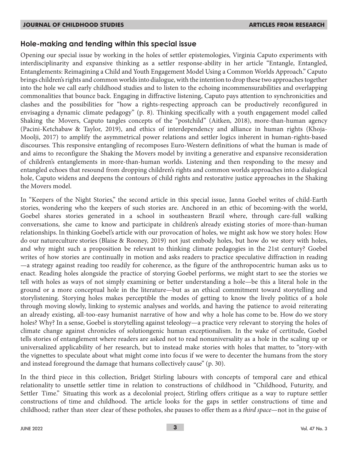## **Hole-making and tending within this special issue**

Opening our special issue by working in the holes of settler epistemologies, Virginia Caputo experiments with interdisciplinarity and expansive thinking as a settler response-ability in her article "Entangle, Entangled, Entanglements: Reimagining a Child and Youth Engagement Model Using a Common Worlds Approach." Caputo brings children's rights and common worlds into dialogue, with the intention to drop these two approaches together into the hole we call early childhood studies and to listen to the echoing incommensurabilities and overlapping commonalities that bounce back. Engaging in diffractive listening, Caputo pays attention to synchronicities and clashes and the possibilities for "how a rights-respecting approach can be productively reconfigured in envisaging a dynamic climate pedagogy" (p. 8). Thinking specifically with a youth engagement model called Shaking the Movers, Caputo tangles concepts of the "postchild" (Aitken, 2018), more-than-human agency (Pacini-Ketchabaw & Taylor, 2019), and ethics of interdependency and alliance in human rights (Khoja-Moolji, 2017) to amplify the asymmetrical power relations and settler logics inherent in human-rights-based discourses. This responsive entangling of recomposes Euro-Western definitions of what the human is made of and aims to reconfigure the Shaking the Movers model by inviting a generative and expansive reconsideration of children's entanglements in more-than-human worlds. Listening and then responding to the messy and entangled echoes that resound from dropping children's rights and common worlds approaches into a dialogical hole, Caputo widens and deepens the contours of child rights and restorative justice approaches in the Shaking the Movers model.

In "Keepers of the Night Stories," the second article in this special issue, Janna Goebel writes of child-Earth stories, wondering who the keepers of such stories are. Anchored in an ethic of becoming-with the world, Goebel shares stories generated in a school in southeastern Brazil where, through care-full walking conversations, she came to know and participate in children's already existing stories of more-than-human relationships. In thinking Goebel's article with our provocation of holes, we might ask how we story holes: How do our natureculture stories (Blaise & Rooney, 2019) not just embody holes, but how do we story with holes, and why might such a proposition be relevant to thinking climate pedagogies in the 21st century? Goebel writes of how stories are continually in motion and asks readers to practice speculative diffraction in reading —a strategy against reading too readily for coherence, as the figure of the anthropocentric human asks us to enact. Reading holes alongside the practice of storying Goebel performs, we might start to see the stories we tell with holes as ways of not simply examining or better understanding a hole—be this a literal hole in the ground or a more conceptual hole in the literature—but as an ethical commitment toward storytelling and storylistening. Storying holes makes perceptible the modes of getting to know the lively politics of a hole through moving slowly, linking to systemic analyses and worlds, and having the patience to avoid reiterating an already existing, all-too-easy humanist narrative of how and why a hole has come to be. How do we story holes? Why? In a sense, Goebel is storytelling against teleology—a practice very relevant to storying the holes of climate change against chronicles of solutiongenic human exceptionalism. In the wake of certitude, Goebel tells stories of entanglement where readers are asked not to read nonuniversality as a hole in the scaling up or universalized applicability of her research, but to instead make stories with holes that matter, to "story-with the vignettes to speculate about what might come into focus if we were to decenter the humans from the story and instead foreground the damage that humans collectively cause" (p. 30).

In the third piece in this collection, Bridget Stirling labours with concepts of temporal care and ethical relationality to unsettle settler time in relation to constructions of childhood in "Childhood, Futurity, and Settler Time." Situating this work as a decolonial project, Stirling offers critique as a way to rupture settler constructions of time and childhood. The article looks for the gaps in settler constructions of time and childhood; rather than steer clear of these potholes, she pauses to offer them as a *third space*—not in the guise of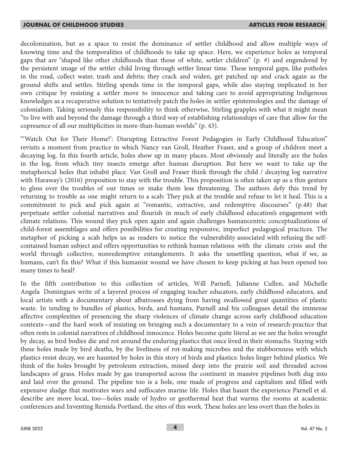decolonization, but as a space to resist the dominance of settler childhood and allow multiple ways of knowing time and the temporalities of childhoods to take up space. Here, we experience holes as temporal gaps that are "shaped like other childhoods than those of white, settler children" (p. #) and engendered by the persistent image of the settler child living through settler linear time. These temporal gaps, like potholes in the road, collect water, trash and debris; they crack and widen, get patched up and crack again as the ground shifts and settles. Stirling spends time in the temporal gaps, while also staying implicated in her own critique by resisting a settler move to innocence and taking care to avoid appropriating Indigenous knowledges as a recuperative solution to tentatively patch the holes in settler epistemologies and the damage of colonialism. Taking seriously this responsibility to think otherwise, Stirling grapples with what it might mean "to live with and beyond the damage through a third way of establishing relationships of care that allow for the copresence of all our multiplicities in more-than-human worlds" (p. 43).

"'Watch Out for Their Home!': Disrupting Extractive Forest Pedagogies in Early Childhood Education" revisits a moment from practice in which Nancy van Groll, Heather Fraser, and a group of children meet a decaying log. In this fourth article, holes show up in many places. Most obviously and literally are the holes in the log, from which tiny insects emerge after human disruption. But here we want to take up the metaphorical holes that inhabit place. Van Groll and Fraser think through the child / decaying log narrative with Haraway's (2016) proposition to stay with the trouble. This proposition is often taken up as a thin gesture to gloss over the troubles of our times or make them less threatening. The authors defy this trend by returning to trouble as one might return to a scab: They pick at the trouble and refuse to let it heal. This is a commitment to pick and pick again at "romantic, extractive, and redemptive discourses" (p.48) that perpetuate settler colonial narratives and flourish in much of early childhood education's engagement with climate relations. This wound they pick open again and again challenges humancentric conceptualizations of child-forest assemblages and offers possibilities for creating responsive, imperfect pedagogical practices. The metaphor of picking a scab helps us as readers to notice the vulnerability associated with refusing the selfcontained human subject and offers opportunities to rethink human relations with the climate crisis and the world through collective, nonredemptive entanglements. It asks the unsettling question, what if we, as humans, can't fix this? What if this humanist wound we have chosen to keep picking at has been opened too many times to heal?

In the fifth contribution to this collection of articles, Will Parnell, Julianne Cullen, and Michelle Angela Domingues write of a layered process of engaging teacher educators, early childhood educators, and local artists with a documentary about albatrosses dying from having swallowed great quantities of plastic waste. In tending to bundles of plastics, birds, and humans, Parnell and his colleagues detail the immense affective complexities of presencing the sharp violences of climate change across early childhood education contexts—and the hard work of insisting on bringing such a documentary to a vein of research-practice that often rests in colonial narratives of childhood innocence. Holes become quite literal as we see the holes wrought by decay, as bird bodies die and rot around the enduring plastics that once lived in their stomachs. Staying with these holes made by bird deaths, by the liveliness of rot-making microbes and the stubbornness with which plastics resist decay, we are haunted by holes in this story of birds and plastics: holes linger behind plastics. We think of the holes brought by petroleum extraction, mined deep into the prairie soil and threaded across landscapes of grass. Holes made by gas transported across the continent in massive pipelines both dug into and laid over the ground. The pipeline too is a hole, one made of progress and capitalism and filled with expensive sludge that motivates wars and suffocates marine life. Holes that haunt the experience Parnell et al. describe are more local, too—holes made of hydro or geothermal heat that warms the rooms at academic conferences and Inventing Remida Portland, the sites of this work. These holes are less overt than the holes in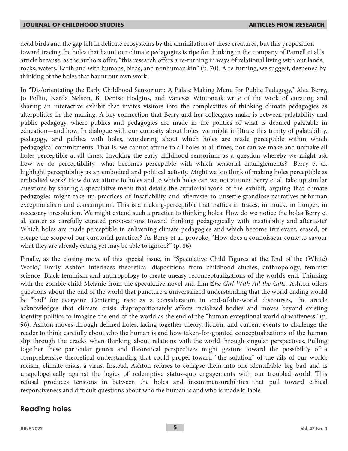dead birds and the gap left in delicate ecosystems by the annihilation of these creatures, but this proposition toward tracing the holes that haunt our climate pedagogies is ripe for thinking in the company of Parnell et al.'s article because, as the authors offer, "this research offers a re-turning in ways of relational living with our lands, rocks, waters, Earth and with humans, birds, and nonhuman kin" (p. 70). A re-turning, we suggest, deepened by thinking of the holes that haunt our own work.

In "Dis/orientating the Early Childhood Sensorium: A Palate Making Menu for Public Pedagogy," Alex Berry, Jo Pollitt, Narda Nelson, B. Denise Hodgins, and Vanessa Wintoneak write of the work of curating and sharing an interactive exhibit that invites visitors into the complexities of thinking climate pedagogies as alterpolitics in the making. A key connection that Berry and her colleagues make is between palatability and public pedagogy, where publics and pedagogies are made in the politics of what is deemed palatable in education—and how. In dialogue with our curiosity about holes, we might infiltrate this trinity of palatability, pedagogy, and publics with holes, wondering about which holes are made perceptible within which pedagogical commitments. That is, we cannot attune to all holes at all times, nor can we make and unmake all holes perceptible at all times. Invoking the early childhood sensorium as a question whereby we might ask how we do perceptibility—what becomes perceptible with which sensorial entanglements?—Berry et al. highlight perceptibility as an embodied and political activity. Might we too think of making holes perceptible as embodied work? How do we attune to holes and to which holes can we not attune? Berry et al. take up similar questions by sharing a speculative menu that details the curatorial work of the exhibit, arguing that climate pedagogies might take up practices of insatiability and aftertaste to unsettle grandiose narratives of human exceptionalism and consumption. This is a making-perceptible that traffics in traces, in muck, in hunger, in necessary irresolution. We might extend such a practice to thinking holes: How do we notice the holes Berry et al. center as carefully curated provocations toward thinking pedagogically with insatiability and aftertaste? Which holes are made perceptible in enlivening climate pedagogies and which become irrelevant, erased, or escape the scope of our curatorial practices? As Berry et al. provoke, "How does a connoisseur come to savour what they are already eating yet may be able to ignore?" (p. 86)

Finally, as the closing move of this special issue, in "Speculative Child Figures at the End of the (White) World," Emily Ashton interlaces theoretical dispositions from childhood studies, anthropology, feminist science, Black feminism and anthropology to create uneasy reconceptualizations of the world's end. Thinking with the zombie child Melanie from the speculative novel and film *Ahe Girl With All the Gifts*, Ashton offers questions about the end of the world that puncture a universalized understanding that the world ending would be "bad" for everyone. Centering race as a consideration in end-of-the-world discourses, the article acknowledges that climate crisis disproportionately affects racialized bodies and moves beyond existing identity politics to imagine the end of the world as the end of the "human exceptional world of whiteness" (p. 96). Ashton moves through defined holes, lacing together theory, fiction, and current events to challenge the reader to think carefully about who the human is and how taken-for-granted conceptualizations of the human slip through the cracks when thinking about relations with the world through singular perspectives. Pulling together these particular genres and theoretical perspectives might gesture toward the possibility of a comprehensive theoretical understanding that could propel toward "the solution" of the ails of our world: racism, climate crisis, a virus. Instead, Ashton refuses to collapse them into one identifiable big bad and is unapologetically against the logics of redemptive status-quo engagements with our troubled world. This refusal produces tensions in between the holes and incommensurabilities that pull toward ethical responsiveness and difficult questions about who the human is and who is made killable.

## **Reading holes**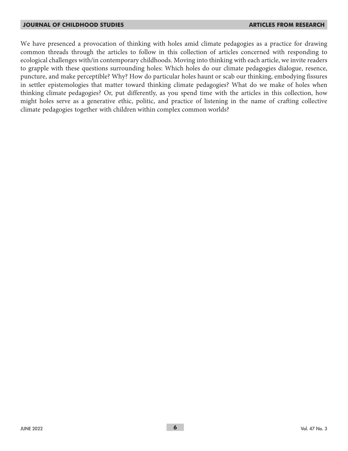We have presenced a provocation of thinking with holes amid climate pedagogies as a practice for drawing common threads through the articles to follow in this collection of articles concerned with responding to ecological challenges with/in contemporary childhoods. Moving into thinking with each article, we invite readers to grapple with these questions surrounding holes: Which holes do our climate pedagogies dialogue, resence, puncture, and make perceptible? Why? How do particular holes haunt or scab our thinking, embodying fissures in settler epistemologies that matter toward thinking climate pedagogies? What do we make of holes when thinking climate pedagogies? Or, put differently, as you spend time with the articles in this collection, how might holes serve as a generative ethic, politic, and practice of listening in the name of crafting collective climate pedagogies together with children within complex common worlds?